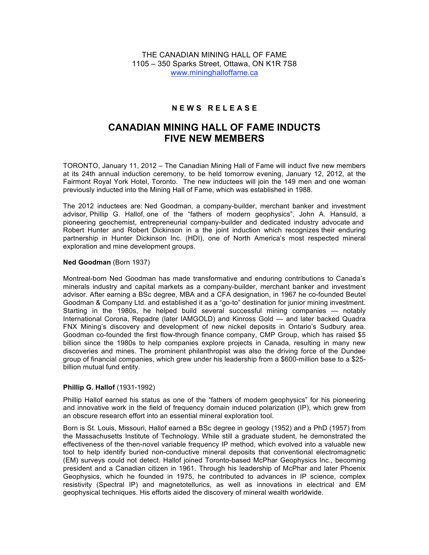THE CANADIAN MINING HALL OF FAME 1105 – 350 Sparks Street, Ottawa, ON K1R 7S8 www.mininghalloffame.ca

# **N E W S R E L E A S E**

# **CANADIAN MINING HALL OF FAME INDUCTS FIVE NEW MEMBERS**

TORONTO, January 11, 2012 – The Canadian Mining Hall of Fame will induct five new members at its 24th annual induction ceremony, to be held tomorrow evening, January 12, 2012, at the Fairmont Royal York Hotel, Toronto. The new inductees will join the 149 men and one woman previously inducted into the Mining Hall of Fame, which was established in 1988.

The 2012 inductees are: Ned Goodman, a company-builder, merchant banker and investment advisor, Phillip G. Hallof, one of the "fathers of modern geophysics", John A. Hansuld, a pioneering geochemist, entrepreneurial company-builder and dedicated industry advocate and Robert Hunter and Robert Dickinson in a the joint induction which recognizes their enduring partnership in Hunter Dickinson Inc. (HDI), one of North America's most respected mineral exploration and mine development groups.

## **Ned Goodman** (Born 1937)

Montreal-born Ned Goodman has made transformative and enduring contributions to Canada's minerals industry and capital markets as a company-builder, merchant banker and investment advisor. After earning a BSc degree, MBA and a CFA designation, in 1967 he co-founded Beutel Goodman & Company Ltd. and established it as a "go-to" destination for junior mining investment. Starting in the 1980s, he helped build several successful mining companies — notably International Corona, Repadre (later IAMGOLD) and Kinross Gold — and later backed Quadra FNX Mining's discovery and development of new nickel deposits in Ontario's Sudbury area. Goodman co-founded the first flow-through finance company, CMP Group, which has raised \$5 billion since the 1980s to help companies explore projects in Canada, resulting in many new discoveries and mines. The prominent philanthropist was also the driving force of the Dundee group of financial companies, which grew under his leadership from a \$600-million base to a \$25 billion mutual fund entity.

## **Phillip G. Hallof** (1931-1992)

Phillip Hallof earned his status as one of the "fathers of modern geophysics" for his pioneering and innovative work in the field of frequency domain induced polarization (IP), which grew from an obscure research effort into an essential mineral exploration tool.

Born is St. Louis, Missouri, Hallof earned a BSc degree in geology (1952) and a PhD (1957) from the Massachusetts Institute of Technology. While still a graduate student, he demonstrated the effectiveness of the then-novel variable frequency IP method, which evolved into a valuable new tool to help identify buried non-conductive mineral deposits that conventional electromagnetic (EM) surveys could not detect. Hallof joined Toronto-based McPhar Geophysics Inc., becoming president and a Canadian citizen in 1961. Through his leadership of McPhar and later Phoenix Geophysics, which he founded in 1975, he contributed to advances in IP science, complex resistivity (Spectral IP) and magnetotellurics, as well as innovations in electrical and EM geophysical techniques. His efforts aided the discovery of mineral wealth worldwide.